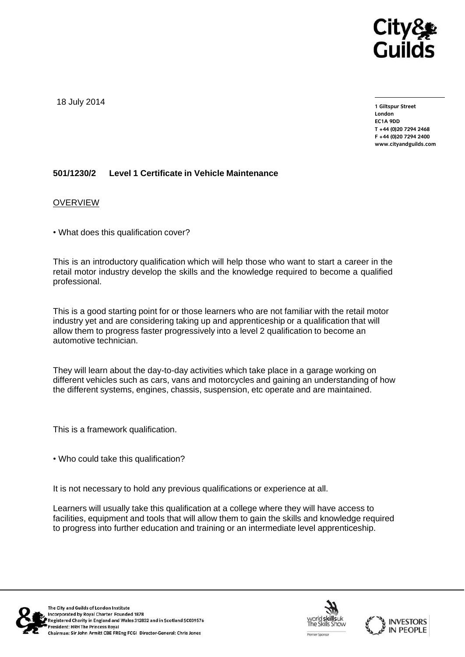

18 July 2014

**1 Giltspur Street EC1A 9DD** T +44 (0)20 7294 2468 **T +44 (0)20 7294 246[8](http://www.cityandguilds.com/) F +44** (1)<br>Example: altreadernikle ee **[www.cityandguilds.com](http://www.cityandguilds.com/)**

## **501/1230/2 Level 1 Certificate in Vehicle Maintenance**

#### **OVERVIEW**

• What does this qualification cover?

This is an introductory qualification which will help those who want to start a career in the retail motor industry develop the skills and the knowledge required to become a qualified professional.

This is a good starting point for or those learners who are not familiar with the retail motor industry yet and are considering taking up and apprenticeship or a qualification that will allow them to progress faster progressively into a level 2 qualification to become an automotive technician.

They will learn about the day-to-day activities which take place in a garage working on different vehicles such as cars, vans and motorcycles and gaining an understanding of how the different systems, engines, chassis, suspension, etc operate and are maintained.

This is a framework qualification.

• Who could take this qualification?

It is not necessary to hold any previous qualifications or experience at all.

Learners will usually take this qualification at a college where they will have access to facilities, equipment and tools that will allow them to gain the skills and knowledge required to progress into further education and training or an intermediate level apprenticeship.